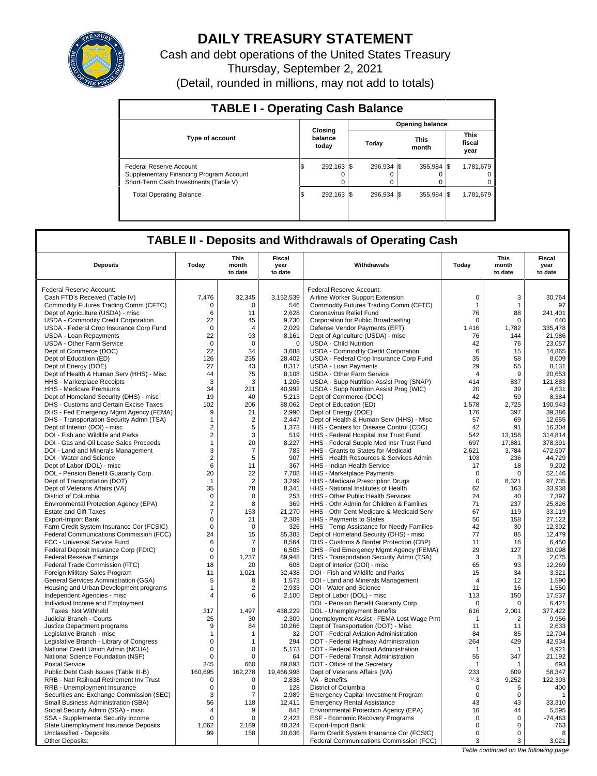

# **DAILY TREASURY STATEMENT**

Cash and debt operations of the United States Treasury Thursday, September 2, 2021 (Detail, rounded in millions, may not add to totals)

| <b>TABLE I - Operating Cash Balance</b>                                                                     |     |                             |  |                  |  |                        |  |                               |  |  |  |  |
|-------------------------------------------------------------------------------------------------------------|-----|-----------------------------|--|------------------|--|------------------------|--|-------------------------------|--|--|--|--|
|                                                                                                             |     |                             |  |                  |  | <b>Opening balance</b> |  |                               |  |  |  |  |
| <b>Type of account</b>                                                                                      |     | Closing<br>balance<br>today |  | Today            |  | <b>This</b><br>month   |  | <b>This</b><br>fiscal<br>year |  |  |  |  |
| Federal Reserve Account<br>Supplementary Financing Program Account<br>Short-Term Cash Investments (Table V) | l\$ | 292.163 \$<br>$\Omega$      |  | 296.934 \\$<br>0 |  | 355.984 \\$<br>0       |  | 1,781,679<br>$\Omega$         |  |  |  |  |
| <b>Total Operating Balance</b>                                                                              | 1\$ | 292.163 \\$                 |  | 296.934 \\$      |  | 355.984 \\$            |  | 1,781,679                     |  |  |  |  |

## **TABLE II - Deposits and Withdrawals of Operating Cash**

| <b>Deposits</b>                                 | Today          | This<br>month<br>to date | Fiscal<br>year<br>to date | Withdrawals                                 | Today          | <b>This</b><br>month<br>to date | Fiscal<br>year<br>to date |
|-------------------------------------------------|----------------|--------------------------|---------------------------|---------------------------------------------|----------------|---------------------------------|---------------------------|
| Federal Reserve Account:                        |                |                          |                           | Federal Reserve Account:                    |                |                                 |                           |
| Cash FTD's Received (Table IV)                  | 7,476          | 32,345                   | 3,152,539                 | Airline Worker Support Extension            | $\mathsf 0$    | 3                               | 30,764                    |
| Commodity Futures Trading Comm (CFTC)           | $\mathbf 0$    | $\Omega$                 | 546                       | Commodity Futures Trading Comm (CFTC)       | $\mathbf{1}$   | $\mathbf{1}$                    | 97                        |
| Dept of Agriculture (USDA) - misc               | 6              | 11                       | 2,628                     | Coronavirus Relief Fund                     | 76             | 88                              | 241,401                   |
| USDA - Commodity Credit Corporation             | 22             | 45                       | 9,730                     | Corporation for Public Broadcasting         | $\mathbf 0$    | 0                               | 640                       |
| USDA - Federal Crop Insurance Corp Fund         | $\Omega$       | $\overline{4}$           | 2,029                     | Defense Vendor Payments (EFT)               | 1.416          | 1,782                           | 335,478                   |
| USDA - Loan Repayments                          | 22             | 93                       | 8,161                     | Dept of Agriculture (USDA) - misc           | 76             | 144                             | 21,986                    |
| <b>USDA - Other Farm Service</b>                | $\mathbf 0$    | $\mathbf 0$              | $\mathbf 0$               | <b>USDA - Child Nutrition</b>               | 42             | 76                              | 23,057                    |
| Dept of Commerce (DOC)                          | 22             | 34                       | 3,688                     | <b>USDA - Commodity Credit Corporation</b>  | 6              | 15                              | 14,865                    |
| Dept of Education (ED)                          | 126            | 235                      | 28,402                    | USDA - Federal Crop Insurance Corp Fund     | 35             | 58                              | 8,009                     |
| Dept of Energy (DOE)                            | 27             | 43                       | 8,317                     | <b>USDA - Loan Payments</b>                 | 29             | 55                              | 8,131                     |
| Dept of Health & Human Serv (HHS) - Misc        | 44             | 75                       | 8,108                     | <b>USDA - Other Farm Service</b>            | $\overline{4}$ | 9                               | 20,653                    |
|                                                 |                | 3                        |                           |                                             | 414            |                                 |                           |
| HHS - Marketplace Receipts                      | 3<br>34        |                          | 1,206<br>40.992           | USDA - Supp Nutrition Assist Prog (SNAP)    | 20             | 837                             | 121,883<br>4.631          |
| <b>HHS</b> - Medicare Premiums                  |                | 221                      |                           | USDA - Supp Nutrition Assist Prog (WIC)     |                | 39                              |                           |
| Dept of Homeland Security (DHS) - misc          | 19             | 40<br>206                | 5,213                     | Dept of Commerce (DOC)                      | 42             | 59                              | 8,384<br>190.943          |
| DHS - Customs and Certain Excise Taxes          | 102            |                          | 88,062                    | Dept of Education (ED)                      | 1,578          | 2,725                           |                           |
| DHS - Fed Emergency Mgmt Agency (FEMA)          | 9              | 21                       | 2,990                     | Dept of Energy (DOE)                        | 176            | 397                             | 39,386                    |
| DHS - Transportation Security Admn (TSA)        | $\mathbf{1}$   | $\overline{2}$           | 2.447                     | Dept of Health & Human Serv (HHS) - Misc    | 57             | 69                              | 12,655                    |
| Dept of Interior (DOI) - misc                   | $\overline{2}$ | 5                        | 1,373                     | HHS - Centers for Disease Control (CDC)     | 42             | 91                              | 16,304                    |
| DOI - Fish and Wildlife and Parks               | $\overline{2}$ | 3                        | 519                       | HHS - Federal Hospital Insr Trust Fund      | 542            | 13,156                          | 314,814                   |
| DOI - Gas and Oil Lease Sales Proceeds          | $\mathbf{1}$   | 20                       | 8.227                     | HHS - Federal Supple Med Insr Trust Fund    | 697            | 17.881                          | 378.391                   |
| DOI - Land and Minerals Management              | 3              | $\overline{7}$           | 783                       | HHS - Grants to States for Medicaid         | 2,621          | 3,784                           | 472,607                   |
| DOI - Water and Science                         | $\overline{2}$ | 5                        | 907                       | HHS - Health Resources & Services Admin     | 103            | 236                             | 44.729                    |
| Dept of Labor (DOL) - misc                      | 6              | 11                       | 367                       | HHS - Indian Health Service                 | 17             | 18                              | 9,202                     |
| DOL - Pension Benefit Guaranty Corp.            | 20             | 22                       | 7,708                     | HHS - Marketplace Payments                  | $\mathbf 0$    | $\Omega$                        | 52,146                    |
| Dept of Transportation (DOT)                    | $\overline{1}$ | $\overline{2}$           | 3,299                     | HHS - Medicare Prescription Drugs           | $\mathbf 0$    | 8,321                           | 97,735                    |
| Dept of Veterans Affairs (VA)                   | 35             | 78                       | 8,341                     | HHS - National Institutes of Health         | 62             | 163                             | 33,938                    |
| District of Columbia                            | $\mathbf 0$    | $\mathbf 0$              | 253                       | HHS - Other Public Health Services          | 24             | 40                              | 7,397                     |
| Environmental Protection Agency (EPA)           | $\overline{2}$ | 8                        | 369                       | HHS - Othr Admin for Children & Families    | 71             | 237                             | 25.826                    |
| <b>Estate and Gift Taxes</b>                    | $\overline{7}$ | 153                      | 21,270                    | HHS - Othr Cent Medicare & Medicaid Serv    | 67             | 119                             | 33.119                    |
| Export-Import Bank                              | $\mathbf 0$    | 21                       | 2,309                     | HHS - Payments to States                    | 50             | 158                             | 27,122                    |
| Farm Credit System Insurance Cor (FCSIC)        | $\mathbf 0$    | $\mathbf 0$              | 326                       | HHS - Temp Assistance for Needy Families    | 42             | 30                              | 12,302                    |
| Federal Communications Commission (FCC)         | 24             | 15                       | 85,383                    | Dept of Homeland Security (DHS) - misc      | 77             | 85                              | 12.479                    |
| FCC - Universal Service Fund                    | 6              | 7                        | 8,564                     | DHS - Customs & Border Protection (CBP)     | 11             | 16                              | 6,450                     |
| Federal Deposit Insurance Corp (FDIC)           | $\mathbf 0$    | $\mathbf 0$              | 6,505                     | DHS - Fed Emergency Mgmt Agency (FEMA)      | 29             | 127                             | 30.098                    |
| <b>Federal Reserve Earnings</b>                 | $\mathsf 0$    | 1,237                    | 89,948                    | DHS - Transportation Security Admn (TSA)    | 3              | 3                               | 2,075                     |
| Federal Trade Commission (FTC)                  | 18             | 20                       | 608                       | Dept of Interior (DOI) - misc               | 65             | 93                              | 12,269                    |
| Foreign Military Sales Program                  | 11             | 1,021                    | 32,438                    | DOI - Fish and Wildlife and Parks           | 15             | 34                              | 3,321                     |
| General Services Administration (GSA)           | 5              | 8                        | 1,573                     | DOI - Land and Minerals Management          | $\overline{4}$ | 12                              | 1,590                     |
| Housing and Urban Development programs          | $\mathbf{1}$   | 2                        | 2.933                     | DOI - Water and Science                     | 11             | 16                              | 1.550                     |
| Independent Agencies - misc                     | $\overline{4}$ | 6                        | 2,100                     | Dept of Labor (DOL) - misc                  | 113            | 150                             | 17,537                    |
| Individual Income and Employment                |                |                          |                           | DOL - Pension Benefit Guaranty Corp.        | $\Omega$       | $\Omega$                        | 6.421                     |
| Taxes, Not Withheld                             | 317            | 1,497                    | 438,229                   | DOL - Unemployment Benefits                 | 616            | 2,001                           | 377,422                   |
| Judicial Branch - Courts                        | 25             | 30                       | 2,309                     | Unemployment Assist - FEMA Lost Wage Pmt    | $\mathbf 1$    | $\overline{2}$                  | 9,956                     |
| Justice Department programs                     | 9              | 84                       | 10,266                    | Dept of Transportation (DOT) - Misc         | 11             | 11                              | 2,633                     |
| Legislative Branch - misc                       | $\mathbf{1}$   | $\mathbf{1}$             | 32                        | DOT - Federal Aviation Administration       | 84             | 85                              | 12,704                    |
| Legislative Branch - Library of Congress        | $\mathbf 0$    | $\mathbf{1}$             | 294                       | DOT - Federal Highway Administration        | 264            | 429                             | 42.934                    |
| National Credit Union Admin (NCUA)              | $\mathbf 0$    | 0                        | 5.173                     | DOT - Federal Railroad Administration       | $\mathbf 1$    | -1                              | 4,921                     |
| National Science Foundation (NSF)               | $\mathbf 0$    | $\Omega$                 | 64                        | DOT - Federal Transit Administration        | 55             | 347                             | 21,192                    |
| <b>Postal Service</b>                           | 345            | 660                      | 89,893                    | DOT - Office of the Secretary               | $\mathbf 1$    | 1                               | 693                       |
| Public Debt Cash Issues (Table III-B)           | 160,695        | 162,278                  | 19,466,998                | Dept of Veterans Affairs (VA)               | 233            | 609                             | 58,347                    |
| <b>RRB - Natl Railroad Retirement Inv Trust</b> | 0              | 0                        | 2.838                     | VA - Benefits                               | $1/-3$         | 9.252                           | 122,303                   |
| RRB - Unemployment Insurance                    | $\mathsf 0$    | 0                        | 128                       | District of Columbia                        | 0              | 6                               | 400                       |
| Securities and Exchange Commission (SEC)        | 3              | 7                        | 2,989                     | <b>Emergency Capital Investment Program</b> | $\Omega$       | $\Omega$                        | -1                        |
| Small Business Administration (SBA)             | 56             | 118                      | 12,411                    | <b>Emergency Rental Assistance</b>          | 43             | 43                              | 33,310                    |
| Social Security Admin (SSA) - misc              | $\overline{4}$ | 9                        | 842                       | Environmental Protection Agency (EPA)       | 16             | 44                              | 5,595                     |
| SSA - Supplemental Security Income              | $\mathsf 0$    | $\Omega$                 | 2,423                     | ESF - Economic Recovery Programs            | 0              | $\Omega$                        | $-74,463$                 |
| State Unemployment Insurance Deposits           | 1,062          | 2,189                    | 48,324                    | <b>Export-Import Bank</b>                   | $\mathbf 0$    | $\mathbf 0$                     | 763                       |
| Unclassified - Deposits                         | 99             | 158                      | 20,636                    | Farm Credit System Insurance Cor (FCSIC)    | $\Omega$       | $\Omega$                        | 8                         |
| Other Deposits:                                 |                |                          |                           | Federal Communications Commission (FCC)     | 3              | 3                               | 3,021                     |
|                                                 |                |                          |                           |                                             |                |                                 |                           |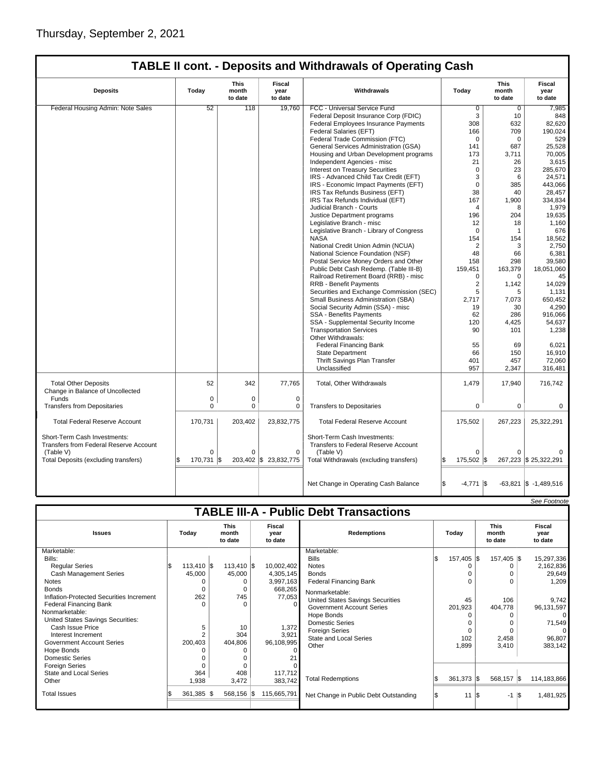| <b>TABLE II cont. - Deposits and Withdrawals of Operating Cash</b> |  |  |  |
|--------------------------------------------------------------------|--|--|--|
|--------------------------------------------------------------------|--|--|--|

| <b>Deposits</b>                                            | Today       | <b>This</b><br>month<br>to date | <b>Fiscal</b><br>year<br>to date | Withdrawals                                       | Today               | <b>This</b><br>month<br>to date | Fiscal<br>year<br>to date |
|------------------------------------------------------------|-------------|---------------------------------|----------------------------------|---------------------------------------------------|---------------------|---------------------------------|---------------------------|
| Federal Housing Admin: Note Sales                          | 52          | 118                             | 19,760                           | FCC - Universal Service Fund                      | $\overline{0}$      | $\mathbf 0$                     | 7,985                     |
|                                                            |             |                                 |                                  | Federal Deposit Insurance Corp (FDIC)             | 3                   | 10                              | 848                       |
|                                                            |             |                                 |                                  | Federal Employees Insurance Payments              | 308                 | 632                             | 82,620                    |
|                                                            |             |                                 |                                  | Federal Salaries (EFT)                            | 166                 | 709                             | 190.024                   |
|                                                            |             |                                 |                                  | Federal Trade Commission (FTC)                    | $\mathbf 0$         | $\mathbf 0$                     | 529                       |
|                                                            |             |                                 |                                  | General Services Administration (GSA)             | 141                 | 687                             | 25,528                    |
|                                                            |             |                                 |                                  | Housing and Urban Development programs            | 173                 | 3,711                           | 70,005                    |
|                                                            |             |                                 |                                  | Independent Agencies - misc                       | 21                  | 26                              | 3,615                     |
|                                                            |             |                                 |                                  | <b>Interest on Treasury Securities</b>            | $\Omega$            | 23                              | 285.670                   |
|                                                            |             |                                 |                                  | IRS - Advanced Child Tax Credit (EFT)             | 3                   | 6                               | 24,571                    |
|                                                            |             |                                 |                                  | IRS - Economic Impact Payments (EFT)              | $\mathbf 0$         | 385                             | 443,066                   |
|                                                            |             |                                 |                                  | IRS Tax Refunds Business (EFT)                    | 38                  | 40                              | 28,457                    |
|                                                            |             |                                 |                                  | IRS Tax Refunds Individual (EFT)                  | 167                 | 1,900                           | 334,834                   |
|                                                            |             |                                 |                                  | Judicial Branch - Courts                          | 4                   | 8                               | 1,979                     |
|                                                            |             |                                 |                                  | Justice Department programs                       | 196                 | 204                             | 19,635                    |
|                                                            |             |                                 |                                  | Legislative Branch - misc                         | 12                  | 18                              | 1,160                     |
|                                                            |             |                                 |                                  | Legislative Branch - Library of Congress          | $\mathbf 0$         | $\mathbf{1}$                    | 676                       |
|                                                            |             |                                 |                                  | <b>NASA</b>                                       | 154                 | 154                             | 18,562                    |
|                                                            |             |                                 |                                  | National Credit Union Admin (NCUA)                | $\overline{2}$      | 3                               | 2,750                     |
|                                                            |             |                                 |                                  | National Science Foundation (NSF)                 | 48                  | 66                              | 6,381                     |
|                                                            |             |                                 |                                  | Postal Service Money Orders and Other             | 158                 | 298                             | 39.580                    |
|                                                            |             |                                 |                                  | Public Debt Cash Redemp. (Table III-B)            | 159,451             | 163,379                         | 18,051,060                |
|                                                            |             |                                 |                                  | Railroad Retirement Board (RRB) - misc            | 0                   | $\Omega$                        | 45                        |
|                                                            |             |                                 |                                  | <b>RRB - Benefit Payments</b>                     | $\overline{2}$      | 1,142                           | 14,029                    |
|                                                            |             |                                 |                                  | Securities and Exchange Commission (SEC)          | 5                   | 5                               | 1,131                     |
|                                                            |             |                                 |                                  | Small Business Administration (SBA)               | 2,717               | 7,073                           | 650,452                   |
|                                                            |             |                                 |                                  | Social Security Admin (SSA) - misc                | 19                  | 30                              | 4,290                     |
|                                                            |             |                                 |                                  | <b>SSA - Benefits Payments</b>                    | 62                  | 286                             | 916.066                   |
|                                                            |             |                                 |                                  | SSA - Supplemental Security Income                | 120                 | 4,425                           | 54,637                    |
|                                                            |             |                                 |                                  | <b>Transportation Services</b>                    | 90                  | 101                             | 1.238                     |
|                                                            |             |                                 |                                  | Other Withdrawals:                                |                     |                                 |                           |
|                                                            |             |                                 |                                  | <b>Federal Financing Bank</b>                     | 55                  | 69                              | 6,021                     |
|                                                            |             |                                 |                                  | State Department                                  | 66                  | 150                             | 16,910                    |
|                                                            |             |                                 |                                  | Thrift Savings Plan Transfer                      | 401                 | 457                             | 72,060                    |
|                                                            |             |                                 |                                  | Unclassified                                      | 957                 | 2,347                           | 316,481                   |
| <b>Total Other Deposits</b>                                | 52          | 342                             | 77,765                           | Total, Other Withdrawals                          | 1,479               | 17,940                          | 716,742                   |
| Change in Balance of Uncollected                           |             |                                 |                                  |                                                   |                     |                                 |                           |
| Funds                                                      | $\mathbf 0$ | $\mathbf 0$                     | $\mathbf 0$                      |                                                   |                     |                                 |                           |
| <b>Transfers from Depositaries</b>                         | 0           | 0                               | 0                                | <b>Transfers to Depositaries</b>                  | 0                   | $\mathbf 0$                     | 0                         |
| <b>Total Federal Reserve Account</b>                       | 170,731     | 203,402                         | 23,832,775                       | <b>Total Federal Reserve Account</b>              | 175,502             | 267,223                         | 25,322,291                |
| Short-Term Cash Investments:                               |             |                                 |                                  | Short-Term Cash Investments:                      |                     |                                 |                           |
| <b>Transfers from Federal Reserve Account</b><br>(Table V) | $\Omega$    | $\Omega$                        | $\mathbf 0$                      | Transfers to Federal Reserve Account<br>(Table V) | $\Omega$            | $\Omega$                        |                           |
|                                                            |             |                                 |                                  |                                                   |                     |                                 |                           |
| Total Deposits (excluding transfers)                       | 170,731     | 203,402<br>l\$                  | \$23,832,775                     | Total Withdrawals (excluding transfers)           | 175,502 \$          |                                 | 267,223 \$ 25,322,291     |
|                                                            |             |                                 |                                  | Net Change in Operating Cash Balance              | $-4,771$ $\sqrt{5}$ |                                 | $-63,821$ \$ $-1,489,516$ |

| <b>TABLE III-A - Public Debt Transactions</b> |               |                                 |  |                           |                                       |    |              |                                 |       |                           |  |
|-----------------------------------------------|---------------|---------------------------------|--|---------------------------|---------------------------------------|----|--------------|---------------------------------|-------|---------------------------|--|
| <b>Issues</b>                                 | Today         | <b>This</b><br>month<br>to date |  | Fiscal<br>year<br>to date | <b>Redemptions</b>                    |    | Today        | <b>This</b><br>month<br>to date |       | Fiscal<br>year<br>to date |  |
| Marketable:                                   |               |                                 |  |                           | Marketable:                           |    |              |                                 |       |                           |  |
| Bills:                                        |               |                                 |  |                           | <b>Bills</b>                          |    | 157,405 \$   | 157,405 \$                      |       | 15,297,336                |  |
| <b>Regular Series</b>                         | $113,410$ \\$ | $113,410$ \$                    |  | 10,002,402                | <b>Notes</b>                          |    |              |                                 |       | 2,162,836                 |  |
| <b>Cash Management Series</b>                 | 45,000        | 45,000                          |  | 4,305,145                 | <b>Bonds</b>                          |    |              |                                 |       | 29,649                    |  |
| Notes                                         |               |                                 |  | 3,997,163                 | <b>Federal Financing Bank</b>         |    |              |                                 |       | 1,209                     |  |
| <b>Bonds</b>                                  | $\Omega$      | $\Omega$                        |  | 668,265                   | Nonmarketable:                        |    |              |                                 |       |                           |  |
| Inflation-Protected Securities Increment      | 262           | 745                             |  | 77,053                    | United States Savings Securities      |    | 45           | 106                             |       | 9,742                     |  |
| <b>Federal Financing Bank</b>                 | $\Omega$      | $\Omega$                        |  |                           | <b>Government Account Series</b>      |    | 201,923      | 404,778                         |       | 96,131,597                |  |
| Nonmarketable:                                |               |                                 |  |                           | Hope Bonds                            |    |              |                                 |       | $\Omega$                  |  |
| United States Savings Securities:             |               |                                 |  |                           | <b>Domestic Series</b>                |    |              |                                 |       | 71,549                    |  |
| Cash Issue Price                              | 5             | 10                              |  | 1,372                     | <b>Foreign Series</b>                 |    |              |                                 |       | $\Omega$                  |  |
| Interest Increment                            | 2             | 304                             |  | 3,921                     | <b>State and Local Series</b>         |    | 102          | 2,458                           |       | 96,807                    |  |
| Government Account Series                     | 200,403       | 404,806                         |  | 96,108,995                | Other                                 |    | 1,899        | 3,410                           |       | 383,142                   |  |
| Hope Bonds                                    |               |                                 |  |                           |                                       |    |              |                                 |       |                           |  |
| <b>Domestic Series</b>                        |               |                                 |  |                           |                                       |    |              |                                 |       |                           |  |
| <b>Foreign Series</b>                         |               |                                 |  |                           |                                       |    |              |                                 |       |                           |  |
| State and Local Series                        | 364           | 408                             |  | 117,712                   |                                       |    | $361,373$ \$ | 568,157 \$                      |       | 114, 183, 866             |  |
| Other                                         | 1,938         | 3,472                           |  | 383,742                   | <b>Total Redemptions</b>              |    |              |                                 |       |                           |  |
| <b>Total Issues</b>                           | 361,385 \$    | 568,156 \$                      |  | 115,665,791               | Net Change in Public Debt Outstanding | 13 | 11           | l\$<br>$-1$                     | - 1\$ | 1,481,925                 |  |

See Footnote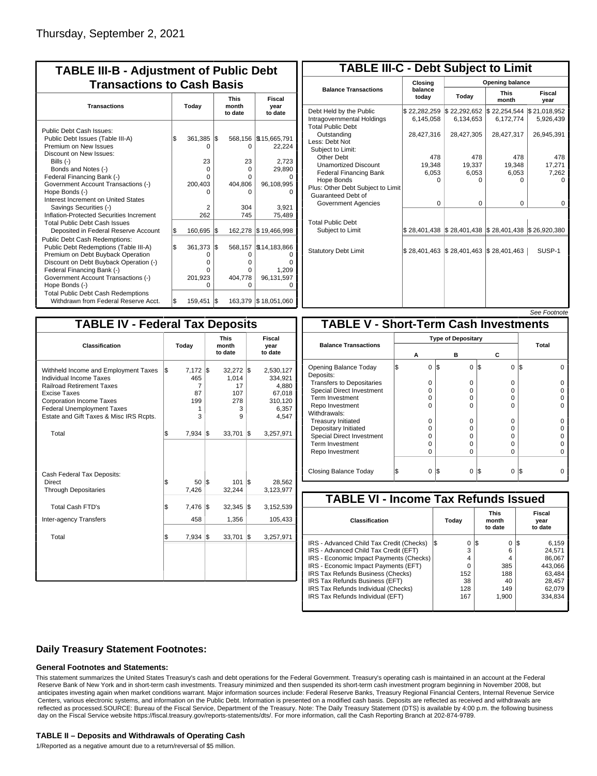| <b>TABLE III-B - Adjustment of Public Debt</b><br><b>Transactions to Cash Basis</b> |     |          |     |                                 |                           |  |  |  |  |  |
|-------------------------------------------------------------------------------------|-----|----------|-----|---------------------------------|---------------------------|--|--|--|--|--|
| <b>Transactions</b>                                                                 |     | Today    |     | <b>This</b><br>month<br>to date | Fiscal<br>year<br>to date |  |  |  |  |  |
| Public Debt Cash Issues:<br>Public Debt Issues (Table III-A)                        | \$  | 361,385  | l\$ |                                 | 568,156   \$15,665,791    |  |  |  |  |  |
| Premium on New Issues<br>Discount on New Issues:                                    |     | n        |     | 0                               | 22,224                    |  |  |  |  |  |
| Bills $(-)$                                                                         |     | 23       |     | 23                              | 2,723                     |  |  |  |  |  |
| Bonds and Notes (-)                                                                 |     | O        |     | O                               | 29,890                    |  |  |  |  |  |
| Federal Financing Bank (-)                                                          |     | U        |     | U                               |                           |  |  |  |  |  |
| Government Account Transactions (-)                                                 |     | 200,403  |     | 404,806                         | 96,108,995                |  |  |  |  |  |
| Hope Bonds (-)                                                                      |     | n        |     | o                               |                           |  |  |  |  |  |
| Interest Increment on United States                                                 |     |          |     |                                 |                           |  |  |  |  |  |
| Savings Securities (-)                                                              |     | 2        |     | 304                             | 3,921                     |  |  |  |  |  |
| Inflation-Protected Securities Increment                                            |     | 262      |     | 745                             | 75,489                    |  |  |  |  |  |
| <b>Total Public Debt Cash Issues</b><br>Deposited in Federal Reserve Account        | Ŝ.  | 160,695  | 1\$ | 162,278                         | \$19,466,998              |  |  |  |  |  |
| <b>Public Debt Cash Redemptions:</b><br>Public Debt Redemptions (Table III-A)       | l\$ | 361.373  | l\$ | 568,157                         | \$14,183,866              |  |  |  |  |  |
| Premium on Debt Buyback Operation                                                   |     | 0        |     | 0                               | Ω                         |  |  |  |  |  |
| Discount on Debt Buyback Operation (-)                                              |     | $\Omega$ |     | o                               | O                         |  |  |  |  |  |
| Federal Financing Bank (-)                                                          |     | U        |     | n                               | 1,209                     |  |  |  |  |  |
| Government Account Transactions (-)                                                 |     | 201,923  |     | 404,778                         | 96,131,597                |  |  |  |  |  |
| Hope Bonds (-)                                                                      |     | U        |     | O                               | ŋ                         |  |  |  |  |  |
| <b>Total Public Debt Cash Redemptions</b>                                           |     |          |     |                                 |                           |  |  |  |  |  |
| Withdrawn from Federal Reserve Acct.                                                | l\$ | 159,451  | l\$ |                                 | 163,379 \$18,051,060      |  |  |  |  |  |

| <b>TABLE III-C - Debt Subject to Limit</b>                                        |                           |                                                                            |                           |                           |  |  |  |  |  |  |  |
|-----------------------------------------------------------------------------------|---------------------------|----------------------------------------------------------------------------|---------------------------|---------------------------|--|--|--|--|--|--|--|
|                                                                                   | Closing                   | Opening balance                                                            |                           |                           |  |  |  |  |  |  |  |
| <b>Balance Transactions</b>                                                       | balance<br>today          | Today                                                                      | <b>This</b><br>month      | Fiscal<br>year            |  |  |  |  |  |  |  |
| Debt Held by the Public<br>Intragovernmental Holdings<br><b>Total Public Debt</b> | \$22,282,259<br>6,145,058 | \$22,292,652<br>6,134,653                                                  | \$22,254,544<br>6,172,774 | \$21,018,952<br>5,926,439 |  |  |  |  |  |  |  |
| Outstanding<br>Less: Debt Not<br>Subject to Limit:                                | 28,427,316                | 28,427,305                                                                 | 28,427,317                | 26,945,391                |  |  |  |  |  |  |  |
| Other Debt                                                                        | 478                       | 478                                                                        | 478                       | 478                       |  |  |  |  |  |  |  |
| <b>Unamortized Discount</b>                                                       | 19,348                    | 19,337                                                                     | 19,348                    | 17,271                    |  |  |  |  |  |  |  |
| <b>Federal Financing Bank</b>                                                     | 6,053                     | 6,053                                                                      | 6,053                     | 7,262                     |  |  |  |  |  |  |  |
| Hope Bonds                                                                        | ŋ                         | ი                                                                          | o                         | O                         |  |  |  |  |  |  |  |
| Plus: Other Debt Subject to Limit<br>Guaranteed Debt of                           |                           |                                                                            |                           |                           |  |  |  |  |  |  |  |
| Government Agencies                                                               | $\Omega$                  | 0                                                                          | 0                         | 0                         |  |  |  |  |  |  |  |
| <b>Total Public Debt</b><br>Subject to Limit                                      |                           | $\frac{1}{2}$ 28,401,438 $\frac{1}{2}$ 28,401,438 $\frac{1}{2}$ 28,401,438 |                           | \$26.920.380              |  |  |  |  |  |  |  |
|                                                                                   |                           |                                                                            |                           |                           |  |  |  |  |  |  |  |
| <b>Statutory Debt Limit</b>                                                       | \$28,401,463              | $\frac{1}{2}$ 28,401,463 $\frac{1}{2}$ 28,401,463                          |                           | SUSP-1                    |  |  |  |  |  |  |  |
|                                                                                   |                           |                                                                            |                           |                           |  |  |  |  |  |  |  |

| <b>TABLE IV - Federal Tax Deposits</b>                                                                                                                                                                                                        |     |                                               |     |                                                    |     |                                                                      |  |  |  |
|-----------------------------------------------------------------------------------------------------------------------------------------------------------------------------------------------------------------------------------------------|-----|-----------------------------------------------|-----|----------------------------------------------------|-----|----------------------------------------------------------------------|--|--|--|
| Classification                                                                                                                                                                                                                                |     | Today                                         |     | <b>This</b><br>month<br>to date                    |     | Fiscal<br>year<br>to date                                            |  |  |  |
| Withheld Income and Employment Taxes<br>Individual Income Taxes<br><b>Railroad Retirement Taxes</b><br><b>Excise Taxes</b><br><b>Corporation Income Taxes</b><br><b>Federal Unemployment Taxes</b><br>Estate and Gift Taxes & Misc IRS Rcpts. | l\$ | $7,172$ \$<br>465<br>7<br>87<br>199<br>1<br>3 |     | $32,272$ \$<br>1,014<br>17<br>107<br>278<br>3<br>g |     | 2,530,127<br>334,921<br>4,880<br>67,018<br>310,120<br>6,357<br>4,547 |  |  |  |
| Total                                                                                                                                                                                                                                         | \$  | $7,934$ \\$                                   |     | 33,701                                             | 1\$ | 3,257,971                                                            |  |  |  |
| Cash Federal Tax Deposits:<br><b>Direct</b><br><b>Through Depositaries</b>                                                                                                                                                                    | \$  | 50 S<br>7,426                                 |     | 101<br>32,244                                      | l\$ | 28,562<br>3,123,977                                                  |  |  |  |
| <b>Total Cash FTD's</b>                                                                                                                                                                                                                       | Ŝ.  | 7,476                                         | l\$ | 32,345                                             | 1\$ | 3,152,539                                                            |  |  |  |
| Inter-agency Transfers                                                                                                                                                                                                                        |     | 458                                           |     | 1,356                                              |     | 105,433                                                              |  |  |  |
| Total                                                                                                                                                                                                                                         | l\$ | 7,934                                         | 1\$ | 33,701                                             | l\$ | 3,257,971                                                            |  |  |  |
|                                                                                                                                                                                                                                               |     |                                               |     |                                                    |     |                                                                      |  |  |  |

| <b>TABLE V - Short-Term Cash Investments</b> |   |   |     |          |          |       |  |  |  |  |  |
|----------------------------------------------|---|---|-----|----------|----------|-------|--|--|--|--|--|
|                                              |   |   |     |          |          |       |  |  |  |  |  |
| <b>Balance Transactions</b>                  |   |   |     |          |          | Total |  |  |  |  |  |
|                                              | А |   |     | в        | С        |       |  |  |  |  |  |
| Opening Balance Today<br>Deposits:           |   | 0 | 1\$ | 0        | 0<br>1\$ | I\$   |  |  |  |  |  |
| <b>Transfers to Depositaries</b>             |   | O |     | 0        | 0        |       |  |  |  |  |  |
| <b>Special Direct Investment</b>             |   | O |     | 0        | O        |       |  |  |  |  |  |
| Term Investment                              |   | O |     | 0        | 0        |       |  |  |  |  |  |
| Repo Investment                              |   | O |     | $\Omega$ | O        |       |  |  |  |  |  |
| Withdrawals:                                 |   |   |     |          |          |       |  |  |  |  |  |
| <b>Treasury Initiated</b>                    |   | O |     | 0        | 0        |       |  |  |  |  |  |
| Depositary Initiated                         |   | Ω |     | 0        | 0        |       |  |  |  |  |  |
| <b>Special Direct Investment</b>             |   | Ω |     | 0        | 0        |       |  |  |  |  |  |
| <b>Term Investment</b>                       |   | O |     | 0        | 0        |       |  |  |  |  |  |
| Repo Investment                              |   | O |     | $\Omega$ | O        |       |  |  |  |  |  |
|                                              |   |   |     |          |          |       |  |  |  |  |  |
| Closing Balance Today                        |   | 0 | l\$ | 0        | I\$<br>0 | l\$   |  |  |  |  |  |

| <b>TABLE VI - Income Tax Refunds Issued</b> |     |       |     |                                 |     |                           |  |  |  |  |
|---------------------------------------------|-----|-------|-----|---------------------------------|-----|---------------------------|--|--|--|--|
| Classification                              |     | Today |     | <b>This</b><br>month<br>to date |     | Fiscal<br>year<br>to date |  |  |  |  |
| IRS - Advanced Child Tax Credit (Checks)    | l\$ | 0     | 1\$ | 0                               | 125 | 6.159                     |  |  |  |  |
| IRS - Advanced Child Tax Credit (EFT)       |     | 3     |     | 6                               |     | 24.571                    |  |  |  |  |
| IRS - Economic Impact Payments (Checks)     |     | 4     |     | 4                               |     | 86.067                    |  |  |  |  |
| IRS - Economic Impact Payments (EFT)        |     | 0     |     | 385                             |     | 443.066                   |  |  |  |  |
| IRS Tax Refunds Business (Checks)           |     | 152   |     | 188                             |     | 63.484                    |  |  |  |  |
| IRS Tax Refunds Business (EFT)              |     | 38    |     | 40                              |     | 28,457                    |  |  |  |  |
| IRS Tax Refunds Individual (Checks)         |     | 128   |     | 149                             |     | 62,079                    |  |  |  |  |
| IRS Tax Refunds Individual (EFT)            |     | 167   |     | 1.900                           |     | 334.834                   |  |  |  |  |
|                                             |     |       |     |                                 |     |                           |  |  |  |  |

### **Daily Treasury Statement Footnotes:**

#### **General Footnotes and Statements:**

This statement summarizes the United States Treasury's cash and debt operations for the Federal Government. Treasury's operating cash is maintained in an account at the Federal Reserve Bank of New York and in short-term cash investments. Treasury minimized and then suspended its short-term cash investment program beginning in November 2008, but anticipates investing again when market conditions warrant. Major information sources include: Federal Reserve Banks, Treasury Regional Financial Centers, Internal Revenue Service Centers, various electronic systems, and information on the Public Debt. Information is presented on a modified cash basis. Deposits are reflected as received and withdrawals are reflected as processed.SOURCE: Bureau of the Fiscal Service, Department of the Treasury. Note: The Daily Treasury Statement (DTS) is available by 4:00 p.m. the following business day on the Fiscal Service website https://fiscal.treasury.gov/reports-statements/dts/. For more information, call the Cash Reporting Branch at 202-874-9789.

#### **TABLE II – Deposits and Withdrawals of Operating Cash**

1/Reported as a negative amount due to a return/reversal of \$5 million.